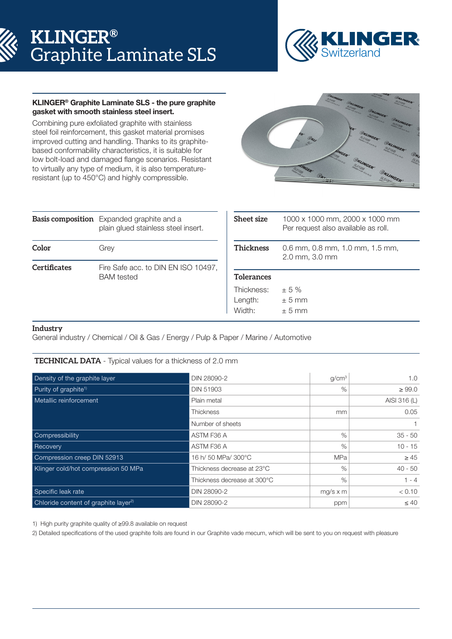# **KLINGER®** Graphite Laminate SLS



## KLINGER® Graphite Laminate SLS - the pure graphite gasket with smooth stainless steel insert.

Combining pure exfoliated graphite with stainless steel foil reinforcement, this gasket material promises improved cutting and handling. Thanks to its graphitebased conformability characteristics, it is suitable for low bolt-load and damaged flange scenarios. Resistant to virtually any type of medium, it is also temperatureresistant (up to 450°C) and highly compressible.



|                     | <b>Basis composition</b> Expanded graphite and a<br>plain glued stainless steel insert. |  |  |
|---------------------|-----------------------------------------------------------------------------------------|--|--|
| Color               | Grey                                                                                    |  |  |
| <b>Certificates</b> | Fire Safe acc. to DIN EN ISO 10497,<br><b>BAM</b> tested                                |  |  |

| <b>Sheet size</b> | 1000 x 1000 mm, 2000 x 1000 mm<br>Per request also available as roll. |  |  |  |
|-------------------|-----------------------------------------------------------------------|--|--|--|
| <b>Thickness</b>  | 0.6 mm, 0.8 mm, 1.0 mm, 1.5 mm,<br>2.0 mm, 3.0 mm                     |  |  |  |
| <b>Tolerances</b> |                                                                       |  |  |  |
| Thickness:        | $+5%$                                                                 |  |  |  |
| Length:           | $± 5$ mm                                                              |  |  |  |
| Width:            | $+5$ mm                                                               |  |  |  |

## **Industry**

General industry / Chemical / Oil & Gas / Energy / Pulp & Paper / Marine / Automotive

#### **TECHNICAL DATA** - Typical values for a thickness of 2.0 mm

| Density of the graphite layer                    | DIN 28090-2                 | g/cm <sup>3</sup> | 1.0          |
|--------------------------------------------------|-----------------------------|-------------------|--------------|
| Purity of graphite <sup>1)</sup>                 | <b>DIN 51903</b>            | %                 | $\geq 99.0$  |
| Metallic reinforcement                           | Plain metal                 |                   | AISI 316 (L) |
|                                                  | Thickness                   | mm                | 0.05         |
|                                                  | Number of sheets            |                   |              |
| Compressibility                                  | ASTM F36 A                  | %                 | $35 - 50$    |
| Recovery                                         | ASTM F36 A                  | %                 | $10 - 15$    |
| Compression creep DIN 52913                      | 16 h/ 50 MPa/ 300°C         | <b>MPa</b>        | $\geq 45$    |
| Klinger cold/hot compression 50 MPa              | Thickness decrease at 23°C  | %                 | $40 - 50$    |
|                                                  | Thickness decrease at 300°C | %                 | $1 - 4$      |
| Specific leak rate                               | DIN 28090-2                 | $mg/s \times m$   | < 0.10       |
| Chloride content of graphite layer <sup>2)</sup> | DIN 28090-2                 | ppm               | $\leq 40$    |

1) High purity graphite quality of ≥99.8 available on request

2) Detailed specifications of the used graphite foils are found in our Graphite vade mecum, which will be sent to you on request with pleasure